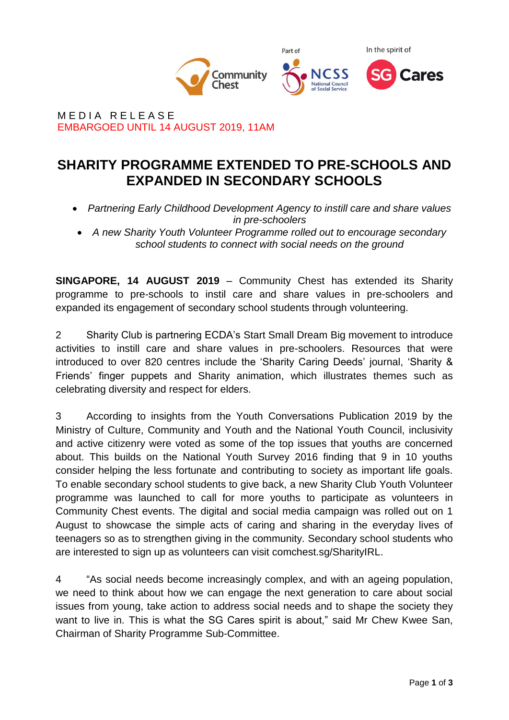

MEDIA RELEASE EMBARGOED UNTIL 14 AUGUST 2019, 11AM

# **SHARITY PROGRAMME EXTENDED TO PRE-SCHOOLS AND EXPANDED IN SECONDARY SCHOOLS**

- *Partnering Early Childhood Development Agency to instill care and share values in pre-schoolers*
- *A new Sharity Youth Volunteer Programme rolled out to encourage secondary school students to connect with social needs on the ground*

**SINGAPORE, 14 AUGUST 2019** – Community Chest has extended its Sharity programme to pre-schools to instil care and share values in pre-schoolers and expanded its engagement of secondary school students through volunteering.

2 Sharity Club is partnering ECDA's Start Small Dream Big movement to introduce activities to instill care and share values in pre-schoolers. Resources that were introduced to over 820 centres include the 'Sharity Caring Deeds' journal, 'Sharity & Friends' finger puppets and Sharity animation, which illustrates themes such as celebrating diversity and respect for elders.

3 According to insights from the Youth Conversations Publication 2019 by the Ministry of Culture, Community and Youth and the National Youth Council, inclusivity and active citizenry were voted as some of the top issues that youths are concerned about. This builds on the National Youth Survey 2016 finding that 9 in 10 youths consider helping the less fortunate and contributing to society as important life goals. To enable secondary school students to give back, a new Sharity Club Youth Volunteer programme was launched to call for more youths to participate as volunteers in Community Chest events. The digital and social media campaign was rolled out on 1 August to showcase the simple acts of caring and sharing in the everyday lives of teenagers so as to strengthen giving in the community. Secondary school students who are interested to sign up as volunteers can visit comchest.sg/SharityIRL.

4 "As social needs become increasingly complex, and with an ageing population, we need to think about how we can engage the next generation to care about social issues from young, take action to address social needs and to shape the society they want to live in. This is what the SG Cares spirit is about," said Mr Chew Kwee San, Chairman of Sharity Programme Sub-Committee.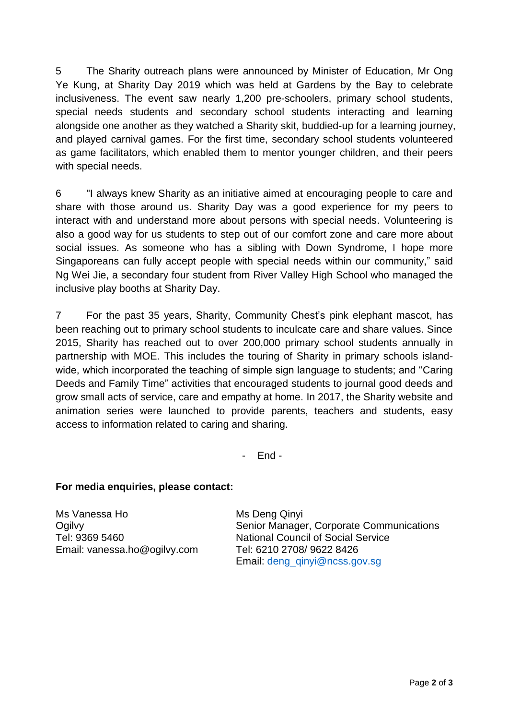5 The Sharity outreach plans were announced by Minister of Education, Mr Ong Ye Kung, at Sharity Day 2019 which was held at Gardens by the Bay to celebrate inclusiveness. The event saw nearly 1,200 pre-schoolers, primary school students, special needs students and secondary school students interacting and learning alongside one another as they watched a Sharity skit, buddied-up for a learning journey, and played carnival games. For the first time, secondary school students volunteered as game facilitators, which enabled them to mentor younger children, and their peers with special needs.

6 "I always knew Sharity as an initiative aimed at encouraging people to care and share with those around us. Sharity Day was a good experience for my peers to interact with and understand more about persons with special needs. Volunteering is also a good way for us students to step out of our comfort zone and care more about social issues. As someone who has a sibling with Down Syndrome, I hope more Singaporeans can fully accept people with special needs within our community," said Ng Wei Jie, a secondary four student from River Valley High School who managed the inclusive play booths at Sharity Day.

7 For the past 35 years, Sharity, Community Chest's pink elephant mascot, has been reaching out to primary school students to inculcate care and share values. Since 2015, Sharity has reached out to over 200,000 primary school students annually in partnership with MOE. This includes the touring of Sharity in primary schools islandwide, which incorporated the teaching of simple sign language to students; and "Caring Deeds and Family Time" activities that encouraged students to journal good deeds and grow small acts of service, care and empathy at home. In 2017, the Sharity website and animation series were launched to provide parents, teachers and students, easy access to information related to caring and sharing.

- End -

## **For media enquiries, please contact:**

Ms Vanessa Ho **Ogilvy** Tel: 9369 5460 Email: vanessa.ho@ogilvy.com Ms Deng Qinyi Senior Manager, Corporate Communications National Council of Social Service Tel: 6210 2708/ 9622 8426 Email: [deng\\_qinyi@ncss.gov.sg](mailto:deng_qinyi@ncss.gov.sg)